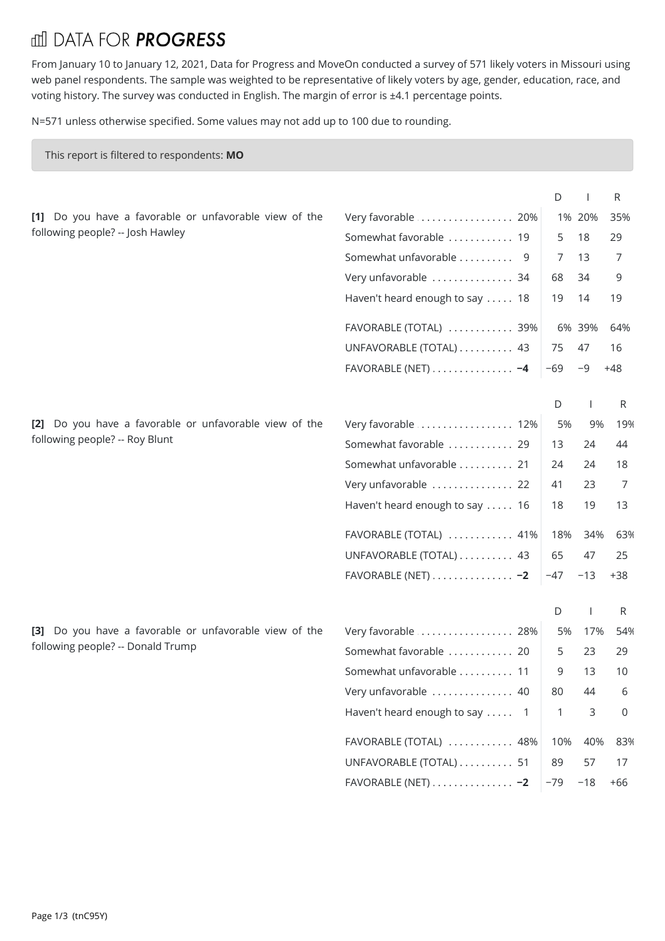## **III DATA FOR PROGRESS**

From January 10 to January 12, 2021, Data for Progress and MoveOn conducted a survey of 571 likely voters in Missouri using web panel respondents. The sample was weighted to be representative of likely voters by age, gender, education, race, and voting history. The survey was conducted in English. The margin of error is ±4.1 percentage points.

N=571 unless otherwise specified. Some values may not add up to 100 due to rounding.

## This report is filtered to respondents: **MO**

|  |  |                                  | [1] Do you have a favorable or unfavorable view of the |  |  | Very fa      |
|--|--|----------------------------------|--------------------------------------------------------|--|--|--------------|
|  |  | following people? -- Josh Hawley |                                                        |  |  | $S_{\Omega}$ |

|  |  |                                | [2] Do you have a favorable or unfavorable view of the |  | Very fa |
|--|--|--------------------------------|--------------------------------------------------------|--|---------|
|  |  | following people? -- Roy Blunt |                                                        |  | Somew   |

| Very favorable  20%                         |       | 1% 20% | 35%   |  |
|---------------------------------------------|-------|--------|-------|--|
| Somewhat favorable  19                      | 5     | -18    | 29    |  |
| Somewhat unfavorable  9                     |       | -13    | 7     |  |
| Very unfavorable  34                        | 68    | - 34   | 9     |  |
| Haven't heard enough to say  18             | 19    | -14    | 19    |  |
| FAVORABLE (TOTAL)  39%                      |       | 6% 39% | 64%   |  |
| UNFAVORABLE (TOTAL) 43                      | 75    | -47    | 16    |  |
| FAVORABLE (NET) $\dots\dots\dots\dots\dots$ | $-69$ |        | $+48$ |  |

| Very favorable  12%                | 5%  | 9%  | 19% |  |
|------------------------------------|-----|-----|-----|--|
| Somewhat favorable  29             | 13  | 24  | 44  |  |
| Somewhat unfavorable  21           | 24  | 24  | 18  |  |
| Very unfavorable  22               | 41  | 23  |     |  |
| Haven't heard enough to say  16    | 18  | 19  | 13  |  |
| FAVORABLE (TOTAL)  41%             | 18% | 34% | 63% |  |
| UNFAVORABLE (TOTAL)  43            | 65  | 47  | 25  |  |
| FAVORABLE (NET) - 2 $ -47 -13 +38$ |     |     |     |  |

**[3]** Do you have a favorable or unfavorable view of the following people? -- Donald Trump

| Very favorable  28%                              | 5%           | 17% | 54%      |
|--------------------------------------------------|--------------|-----|----------|
| Somewhat favorable  20                           | 5            | 23  | 29       |
| Somewhat unfavorable  11                         | 9            | 13  | 10       |
| Very unfavorable  40                             | 80           | 44  | 6        |
| Haven't heard enough to say  1                   | $\mathbf{1}$ | 3   | $\Omega$ |
| $FAVORABLE (TOTAL)$ 48%                          | 10%          | 40% | 83%      |
| UNFAVORABLE (TOTAL)  51                          | 89           | 57  | 17       |
| FAVORABLE (NET) $\ldots \ldots \ldots \ldots -2$ | $-79 - 18$   |     | +66      |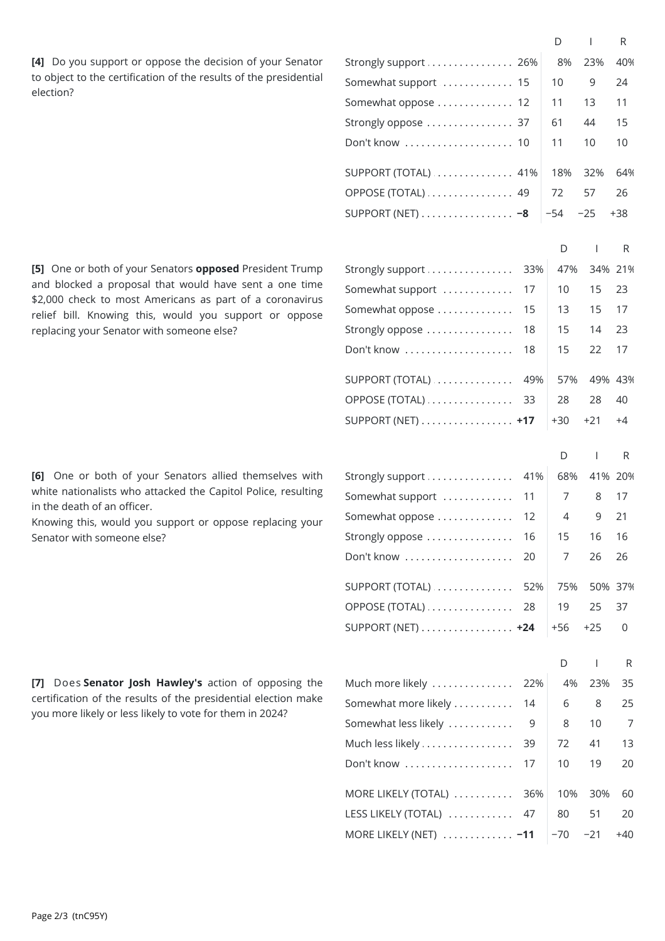**[4]** Do you support or oppose the decision of your Senator to object to the certification of the results of the presidential election?

**[5]** One or both of your Senators **opposed** President Trump and blocked a proposal that would have sent a one time \$2,000 check to most Americans as part of a coronavirus relief bill. Knowing this, would you support or oppose replacing your Senator with someone else?

[6] One or both of your Senators allied themselves with white nationalists who attacked the Capitol Police, resulting in the death of an officer.

Knowing this, would you support or oppose replacing your Senator with someone else?

**[7]** Does **Senator Josh Hawley's** action of opposing the certification of the results of the presidential election make you more likely or less likely to vote for them in 2024?

|                                                     |           | D        | $\mathsf{I}$   | R        |  |
|-----------------------------------------------------|-----------|----------|----------------|----------|--|
| Strongly support  26%                               |           | 8%       | 23%            | 40%      |  |
| Somewhat support  15                                |           | 10       | 9              | 24       |  |
| Somewhat oppose  12                                 |           | 11       | 13             | 11       |  |
| Strongly oppose  37                                 |           | 61       | 44             | 15       |  |
| Don't know  10                                      |           | 11       | 10             | 10       |  |
|                                                     |           |          |                |          |  |
| $SUPPORT (TOTAL)$ 41%                               |           | 18%      | 32%            | 64%      |  |
| OPPOSE (TOTAL)  49                                  |           | 72       | 57             | 26       |  |
| SUPPORT (NET) $\dots\dots\dots\dots\dots -8$        |           | $-54$    | $-25$          | $+38$    |  |
|                                                     |           | D        | J.             | R        |  |
| Strongly support                                    | 33%       | 47%      |                | 34% 21%  |  |
| Somewhat support                                    | 17        | 10       | 15             | 23       |  |
| Somewhat oppose                                     | 15        | 13       | 15             | 17       |  |
| Strongly oppose                                     | 18        | 15       | 14             | 23       |  |
| Don't know                                          | 18        | 15       | 22             | 17       |  |
|                                                     |           |          |                |          |  |
| SUPPORT (TOTAL)                                     | 49%       | 57%      |                | 49% 43%  |  |
| OPPOSE (TOTAL)                                      | 33        | 28       | 28             | 40       |  |
| SUPPORT (NET) +17                                   |           | $+30$    | $+21$          | $+4$     |  |
|                                                     |           |          |                |          |  |
|                                                     |           | D        | $\mathbf{I}$   | R        |  |
| Strongly support                                    | 41%<br>11 | 68%<br>7 | 41% 20%        |          |  |
| Somewhat support                                    |           |          | 8              | 17<br>21 |  |
| Somewhat oppose                                     | 12<br>16  | 4        | 9              |          |  |
| Strongly oppose $\,\dots\ldots\ldots\ldots\ldots\,$ |           | 15       | 16             | 16       |  |
| Don't know                                          | 20        | 7        | 26             | 26       |  |
| SUPPORT (TOTAL)                                     | 52%       | 75%      |                | 50% 37%  |  |
| OPPOSE (TOTAL)                                      | 28        | 19       | 25             | 37       |  |
| SUPPORT (NET) +24                                   |           | $+56$    | $+25$          | 0        |  |
|                                                     |           |          |                |          |  |
|                                                     |           | D        | $\overline{1}$ | R        |  |
| Much more likely                                    | 22%       | 4%       | 23%            | 35       |  |
| Somewhat more likely                                | 14        | 6        | 8              | 25       |  |
| Somewhat less likely                                | 9         | 8        | 10             | 7        |  |
| Much less likely                                    | 39        | 72       | 41             | 13       |  |
| Don't know                                          | 17        | 10       | 19             | 20       |  |
| MORE LIKELY (TOTAL)                                 | 36%       | 10%      | 30%            | 60       |  |
| LESS LIKELY (TOTAL)                                 | 47        | 80       | 51             | 20       |  |
| MORE LIKELY (NET)  -11                              |           | $-70$    | $-21$          | +40      |  |
|                                                     |           |          |                |          |  |